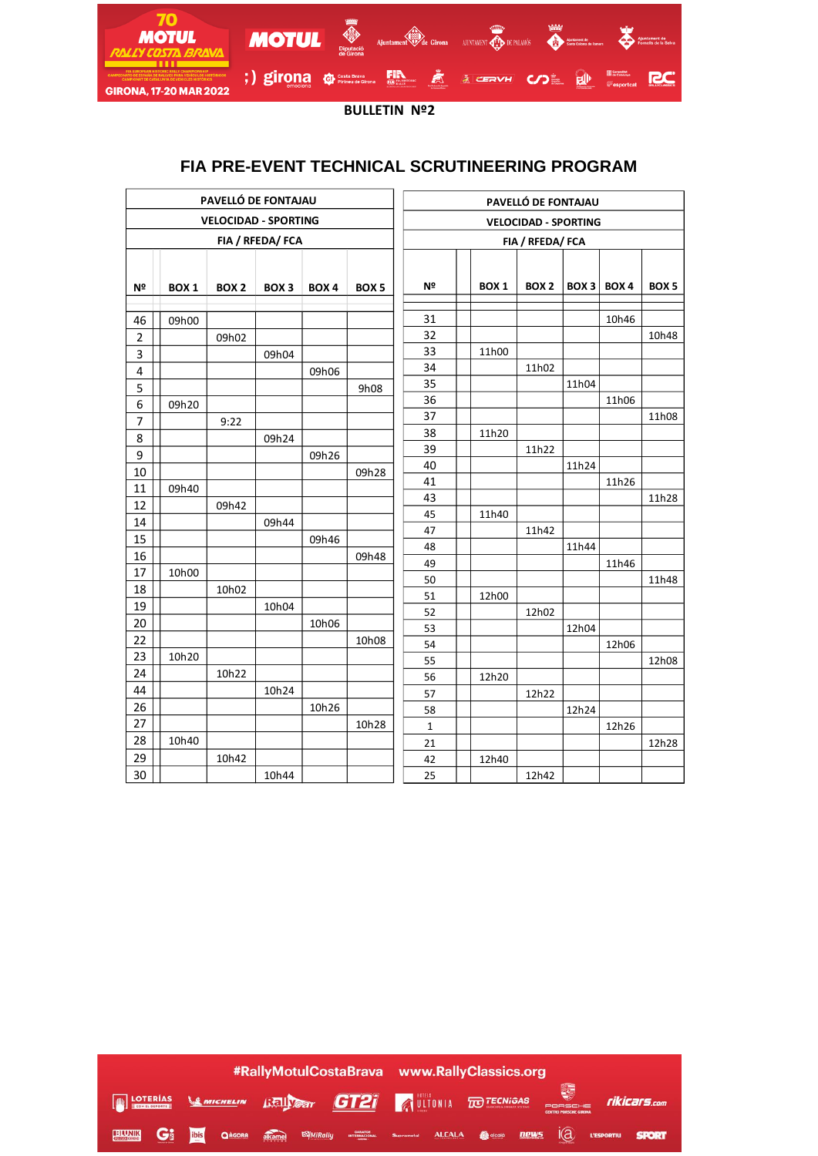

**BULLETIN Nº2**

## **FIA PRE-EVENT TECHNICAL SCRUTINEERING PROGRAM**

| PAVELLÓ DE FONTAJAU         |                  |                  |                  |                  |                  | PAVELLÓ DE FONTAJAU         |  |                  |                  |                  |                  |                  |
|-----------------------------|------------------|------------------|------------------|------------------|------------------|-----------------------------|--|------------------|------------------|------------------|------------------|------------------|
| <b>VELOCIDAD - SPORTING</b> |                  |                  |                  |                  |                  | <b>VELOCIDAD - SPORTING</b> |  |                  |                  |                  |                  |                  |
| FIA / RFEDA/ FCA            |                  |                  |                  |                  |                  | FIA / RFEDA/ FCA            |  |                  |                  |                  |                  |                  |
| Nº                          | BOX <sub>1</sub> | BOX <sub>2</sub> | BOX <sub>3</sub> | BOX <sub>4</sub> | BOX <sub>5</sub> | Nº                          |  | BOX <sub>1</sub> | BOX <sub>2</sub> | BOX <sub>3</sub> | BOX <sub>4</sub> | BOX <sub>5</sub> |
| 46                          | 09h00            |                  |                  |                  |                  | 31                          |  |                  |                  |                  | 10h46            |                  |
| $\overline{2}$              |                  | 09h02            |                  |                  |                  | 32                          |  |                  |                  |                  |                  | 10h48            |
| 3                           |                  |                  | 09h04            |                  |                  | 33                          |  | 11h00            |                  |                  |                  |                  |
| 4                           |                  |                  |                  | 09h06            |                  | 34                          |  |                  | 11h02            |                  |                  |                  |
| 5                           |                  |                  |                  |                  | 9h08             | 35                          |  |                  |                  | 11h04            |                  |                  |
| 6                           | 09h20            |                  |                  |                  |                  | 36                          |  |                  |                  |                  | 11h06            |                  |
| $\overline{7}$              |                  | 9:22             |                  |                  |                  | 37                          |  |                  |                  |                  |                  | 11h08            |
| 8                           |                  |                  | 09h24            |                  |                  | 38                          |  | 11h20            |                  |                  |                  |                  |
| 9                           |                  |                  |                  | 09h26            |                  | 39                          |  |                  | 11h22            |                  |                  |                  |
| 10                          |                  |                  |                  |                  | 09h28            | 40                          |  |                  |                  | 11h24            |                  |                  |
| $11\,$                      | 09h40            |                  |                  |                  |                  | 41                          |  |                  |                  |                  | 11h26            |                  |
| 12                          |                  | 09h42            |                  |                  |                  | 43                          |  |                  |                  |                  |                  | 11h28            |
| 14                          |                  |                  | 09h44            |                  |                  | 45                          |  | 11h40            |                  |                  |                  |                  |
| 15                          |                  |                  |                  | 09h46            |                  | 47                          |  |                  | 11h42            |                  |                  |                  |
| 16                          |                  |                  |                  |                  | 09h48            | 48<br>49                    |  |                  |                  | 11h44            | 11h46            |                  |
| 17                          | 10h00            |                  |                  |                  |                  | 50                          |  |                  |                  |                  |                  | 11h48            |
| 18                          |                  | 10h02            |                  |                  |                  | 51                          |  | 12h00            |                  |                  |                  |                  |
| 19                          |                  |                  | 10h04            |                  |                  | 52                          |  |                  | 12h02            |                  |                  |                  |
| 20                          |                  |                  |                  | 10h06            |                  | 53                          |  |                  |                  | 12h04            |                  |                  |
| 22                          |                  |                  |                  |                  | 10h08            | 54                          |  |                  |                  |                  | 12h06            |                  |
| 23                          | 10h20            |                  |                  |                  |                  | 55                          |  |                  |                  |                  |                  | 12h08            |
| 24                          |                  | 10h22            |                  |                  |                  | 56                          |  | 12h20            |                  |                  |                  |                  |
| 44                          |                  |                  | 10h24            |                  |                  | 57                          |  |                  | 12h22            |                  |                  |                  |
| 26                          |                  |                  |                  | 10h26            |                  | 58                          |  |                  |                  | 12h24            |                  |                  |
| 27                          |                  |                  |                  |                  | 10h28            | $\mathbf 1$                 |  |                  |                  |                  | 12h26            |                  |
| 28                          | 10h40            |                  |                  |                  |                  | 21                          |  |                  |                  |                  |                  | 12h28            |
| 29                          |                  | 10h42            |                  |                  |                  | 42                          |  | 12h40            |                  |                  |                  |                  |
| 30                          |                  |                  | 10h44            |                  |                  | 25                          |  |                  | 12h42            |                  |                  |                  |